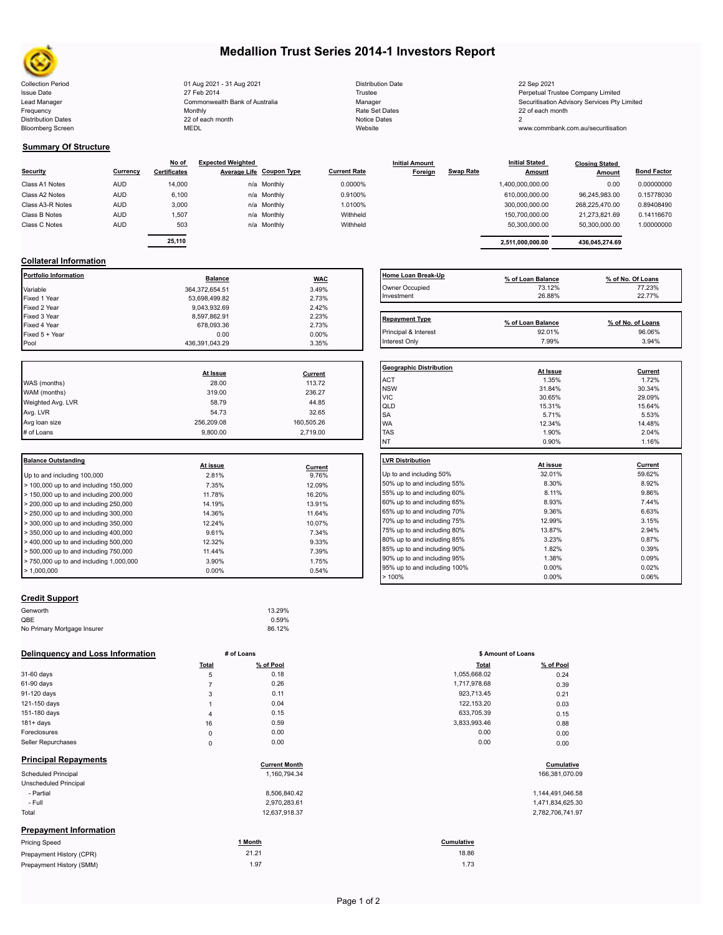

Bloomberg Screen

# **Medallion Trust Series 2014-1 Investors Report**

Collection Period 01 Aug 2021 - 31 Aug 2021 bistribution Date 22 Sep 2021<br>Issue Date 27 Feb 2014 Trustee Perpetual Tr Issue Date **Trustee Company Limited** 27 Feb 2014 **1999 127 Feb 2014** Trustee Trustee Perpetual Trustee Company Limited Lead Manager **Manager** Securitisation Advisory Services Pty Limited Commonwealth Bank of Australia Manager Manager Securitisation Advisory Services Pty Limited Frequency 22 of each month Monthly Monthly Rate Set Dates Rate Set Dates 22 of each month Distribution Dates **Notice 2** and the control of the 22 of each month **Notice Dates** Notice Dates 2 Commonwealth Bank of Australia Monthly 22 of each month

| <b>Distribution Date</b> |
|--------------------------|
| Trustee                  |
| Manager                  |
| Rate Set Dates           |
| Notice Dates             |
| Website                  |

www.commbank.com.au/securitisation

### **Summary Of Structure**

|                  |            | No of               | <b>Expected Weighted</b> |             |                     | <b>Initial Amount</b> |                  | <b>Initial Stated</b> | <b>Closing Stated</b> |                    |
|------------------|------------|---------------------|--------------------------|-------------|---------------------|-----------------------|------------------|-----------------------|-----------------------|--------------------|
| Security         | Currency   | <b>Certificates</b> | Average Life Coupon Type |             | <b>Current Rate</b> | Foreign               | <b>Swap Rate</b> | <b>Amount</b>         | Amount                | <b>Bond Factor</b> |
| Class A1 Notes   | <b>AUD</b> | 14,000              |                          | n/a Monthly | 0.0000%             |                       |                  | 1,400,000,000.00      | 0.00                  | 0.00000000         |
| Class A2 Notes   | <b>AUD</b> | 6,100               |                          | n/a Monthly | 0.9100%             |                       |                  | 610,000,000.00        | 96.245.983.00         | 0.15778030         |
| Class A3-R Notes | <b>AUD</b> | 3,000               |                          | n/a Monthly | 1.0100%             |                       |                  | 300,000,000.00        | 268,225,470.00        | 0.89408490         |
| Class B Notes    | <b>AUD</b> | 1,507               |                          | n/a Monthly | Withheld            |                       |                  | 150.700.000.00        | 21.273.821.69         | 0.14116670         |
| Class C Notes    | <b>AUD</b> | 503                 |                          | n/a Monthly | Withheld            |                       |                  | 50,300,000.00         | 50,300,000.00         | 1.00000000         |
|                  |            | -- ---              |                          |             |                     |                       |                  |                       |                       |                    |

|          | No of        | <b>Expected Weighted</b> |                          |                     | <b>Initial Amount</b> |           | <b>Initial Stated</b> | <b>Closing Stated</b> |                    |  |
|----------|--------------|--------------------------|--------------------------|---------------------|-----------------------|-----------|-----------------------|-----------------------|--------------------|--|
| Currency | Certificates |                          | Average Life Coupon Type | <b>Current Rate</b> | Foreign               | Swap Rate | <b>Amount</b>         | Amount                | <b>Bond Factor</b> |  |
| AUD      | 14.000       |                          | n/a Monthly              | 0.0000%             |                       |           | 1.400.000.000.00      | 0.00                  | 0.00000000         |  |
| AUD      | 6,100        |                          | n/a Monthly              | 0.9100%             |                       |           | 610.000.000.00        | 96.245.983.00         | 0.15778030         |  |
| AUD      | 3,000        |                          | n/a Monthly              | 1.0100%             |                       |           | 300.000.000.00        | 268.225.470.00        | 0.89408490         |  |
| AUD      | 1,507        |                          | n/a Monthly              | Withheld            |                       |           | 150.700.000.00        | 21.273.821.69         | 0.14116670         |  |
| AUD      | 503          |                          | n/a Monthly              | Withheld            |                       |           | 50.300.000.00         | 50.300.000.00         | 1.00000000         |  |
|          |              |                          |                          |                     |                       |           |                       |                       |                    |  |
|          | 25.110       |                          |                          |                     |                       |           | 2.511.000.000.00      | 436.045.274.69        |                    |  |

## **Collateral Information**

| Portfolio Information | <b>Balance</b> | <b>WAC</b> | <b>Home Loan Break</b> |
|-----------------------|----------------|------------|------------------------|
| Variable              | 364,372,654.51 | 3.49%      | Owner Occupied         |
| Fixed 1 Year          | 53,698,499.82  | 2.73%      | Investment             |
| Fixed 2 Year          | 9.043.932.69   | 2.42%      |                        |
| Fixed 3 Year          | 8.597.862.91   | 2.23%      | <b>Repayment Type</b>  |
| Fixed 4 Year          | 678.093.36     | 2.73%      |                        |
| Fixed 5 + Year        | 0.00           | $0.00\%$   | Principal & Interest   |
| Pool                  | 436.391.043.29 | 3.35%      | Interest Only          |

|                   |            |            | Geo                     |
|-------------------|------------|------------|-------------------------|
|                   | At Issue   | Current    |                         |
| WAS (months)      | 28.00      | 113.72     | AC <sup>-</sup>         |
| WAM (months)      | 319.00     | 236.27     | <b>NS</b><br><b>VIC</b> |
| Weighted Avg. LVR | 58.79      | 44.85      | lqlı                    |
| Avg. LVR          | 54.73      | 32.65      | <b>SA</b>               |
| Avg loan size     | 256,209.08 | 160,505.26 | <b>WA</b>               |
| # of Loans        | 9.800.00   | 2.719.00   | <b>TAS</b>              |
|                   |            |            |                         |

| Balance Outstanding                                       | At issue | Current | <b>ILVR Distribution</b> |
|-----------------------------------------------------------|----------|---------|--------------------------|
| Up to and including 100,000                               | 2.81%    | 9.76%   | Up to and including      |
| $>$ 100,000 up to and including 150,000                   | 7.35%    | 12.09%  | 50% up to and incl       |
| $\blacktriangleright$ 150,000 up to and including 200,000 | 11.78%   | 16.20%  | 55% up to and incl       |
| $>$ 200,000 up to and including 250,000                   | 14.19%   | 13.91%  | 60% up to and incl       |
| $> 250,000$ up to and including 300,000                   | 14.36%   | 11.64%  | 65% up to and incl       |
| $\geq$ 300,000 up to and including 350,000                | 12.24%   | 10.07%  | 70% up to and incl       |
| $\blacktriangleright$ 350,000 up to and including 400,000 | 9.61%    | 7.34%   | 75% up to and incl       |
| > 400,000 up to and including 500,000                     | 12.32%   | 9.33%   | 80% up to and incl       |
| $\geq 500,000$ up to and including 750,000                | 11.44%   | 7.39%   | 85% up to and incl       |
| $\geq 750.000$ up to and including 1.000.000              | 3.90%    | 1.75%   | 90% up to and incl       |
| $\blacktriangleright$ 1.000.000                           | $0.00\%$ | 0.54%   | 95% up to and incl       |

# **Credit Support**

| Genworth                    | 13.29% |  |
|-----------------------------|--------|--|
| QBE                         | 0.59%  |  |
| No Primary Mortgage Insurer | 86.12% |  |
|                             |        |  |

### **Delinquency and Loss Information # of Loans**

|                               | Total          | % of Pool            | <b>Total</b> | % of Pool        |
|-------------------------------|----------------|----------------------|--------------|------------------|
| 31-60 days                    | 5              | 0.18                 | 1,055,668.02 | 0.24             |
| 61-90 days                    | $\overline{7}$ | 0.26                 | 1,717,978.68 | 0.39             |
| 91-120 days                   | 3              | 0.11                 | 923,713.45   | 0.21             |
| 121-150 days                  |                | 0.04                 | 122,153.20   | 0.03             |
| 151-180 days                  | $\overline{4}$ | 0.15                 | 633,705.39   | 0.15             |
| $181 + days$                  | 16             | 0.59                 | 3,833,993.46 | 0.88             |
| Foreclosures                  | $\mathsf 0$    | 0.00                 | 0.00         | 0.00             |
| Seller Repurchases            | $\mathbf 0$    | 0.00                 | 0.00         | 0.00             |
| <b>Principal Repayments</b>   |                | <b>Current Month</b> |              | Cumulative       |
| <b>Scheduled Principal</b>    |                | 1,160,794.34         |              | 166,381,070.09   |
| Unscheduled Principal         |                |                      |              |                  |
| - Partial                     |                | 8,506,840.42         |              | 1,144,491,046.58 |
| - Full                        |                | 2,970,283.61         |              | 1,471,834,625.30 |
| Total                         |                | 12,637,918.37        |              | 2,782,706,741.97 |
| <b>Prepayment Information</b> |                |                      |              |                  |
| Pricing Speed                 |                | 1 Month              | Cumulative   |                  |
| Prepayment History (CPR)      |                | 21.21                | 18.86        |                  |
| Prepayment History (SMM)      |                | 1.97                 | 1.73         |                  |

| Home Loan Break-Up<br>Owner Occupied<br>Investment | % of Loan Balance<br>73.12%<br>26.88% | % of No. Of Loans<br>77.23%<br>22.77% |
|----------------------------------------------------|---------------------------------------|---------------------------------------|
| <b>Repayment Type</b>                              | % of Loan Balance                     | % of No. of Loans                     |
| Principal & Interest                               | 92.01%                                | 96.06%                                |

Interest Only 7.99% 3.94%

| <b>Geographic Distribution</b> | At Issue | <b>Current</b> |
|--------------------------------|----------|----------------|
| <b>ACT</b>                     | 1.35%    | 1.72%          |
| <b>NSW</b>                     | 31.84%   | 30.34%         |
| <b>VIC</b>                     | 30.65%   | 29.09%         |
| QLD                            | 15.31%   | 15.64%         |
| <b>SA</b>                      | 5.71%    | 5.53%          |
| <b>WA</b>                      | 12.34%   | 14.48%         |
| <b>TAS</b>                     | 1.90%    | 2.04%          |
| <b>NT</b>                      | 0.90%    | 1.16%          |
|                                |          |                |
| <b>LVR Distribution</b>        | At issue | Current        |
| Up to and including 50%        | 32.01%   | 59.62%         |
| 50% up to and including 55%    | 8.30%    | 8.92%          |
| 55% up to and including 60%    | 8.11%    | 9.86%          |
| 60% up to and including 65%    | 8.93%    | 7.44%          |
| 65% up to and including 70%    | 9.36%    | 6.63%          |
| 70% up to and including 75%    | 12.99%   | 3.15%          |
| 75% up to and including 80%    | 13.87%   | 2.94%          |
| 80% up to and including 85%    | 3.23%    | 0.87%          |
| 85% up to and including 90%    | 1.82%    | 0.39%          |
| 90% up to and including 95%    | 1.38%    | 0.09%          |
| 95% up to and including 100%   | $0.00\%$ | 0.02%          |
| >100%                          | 0.00%    | 0.06%          |

|       | # of Loans | \$ Amount of Loans |           |
|-------|------------|--------------------|-----------|
| Total | % of Pool  | <b>Total</b>       | % of Pool |
| 5     | 0.18       | 1,055,668.02       | 0.24      |
| 7     | 0.26       | 1,717,978.68       | 0.39      |
| 3     | 0.11       | 923,713.45         | 0.21      |
| 1     | 0.04       | 122,153.20         | 0.03      |
| 4     | 0.15       | 633,705.39         | 0.15      |
| 16    | 0.59       | 3,833,993.46       | 0.88      |
| 0     | 0.00       | 0.00               | 0.00      |
| 0     | 0.00       | 0.00               | 0.00      |